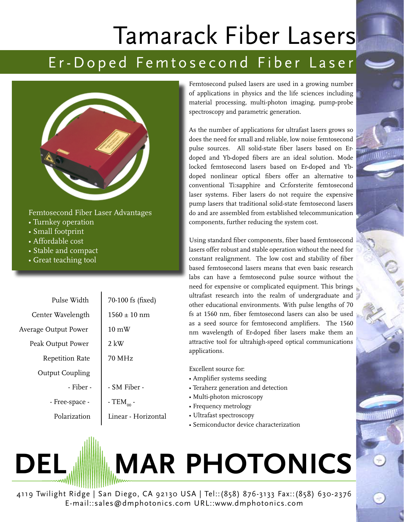## Tamarack Fiber Lasers

## Er-Doped Femtosecond Fiber Laser



Femtosecond Fiber Laser Advantages

- Turnkey operation
- Small footprint
- Affordable cost
- Stable and compact
- Great teaching tool

Pulse Width Center Wavelength Average Output Power Peak Output Power Repetition Rate Output Coupling 70-100 fs (fixed)  $1560 \pm 10$  nm 10 mW 70 MHz  $2$  kW

- 
- 
- Polarization

- Free-space -

- Fiber -

- SM Fiber - -  $TEM_{\alpha\alpha}$  -

Linear - Horizontal

Femtosecond pulsed lasers are used in a growing number of applications in physics and the life sciences including material processing, multi-photon imaging, pump-probe spectroscopy and parametric generation.

As the number of applications for ultrafast lasers grows so does the need for small and reliable, low noise femtosecond pulse sources. All solid-state fiber lasers based on Erdoped and Yb-doped fibers are an ideal solution. Mode locked femtosecond lasers based on Er-doped and Ybdoped nonlinear optical fibers offer an alternative to conventional Ti:sapphire and Cr:forsterite femtosecond laser systems. Fiber lasers do not require the expensive pump lasers that traditional solid-state femtosecond lasers do and are assembled from established telecommunication components, further reducing the system cost.

Using standard fiber components, fiber based femtosecond lasers offer robust and stable operation without the need for constant realignment. The low cost and stability of fiber based femtosecond lasers means that even basic research labs can have a femtosecond pulse source without the need for expensive or complicated equipment. This brings ultrafast research into the realm of undergraduate and other educational environments. With pulse lengths of 70 fs at 1560 nm, fiber femtosecond lasers can also be used as a seed source for femtosecond amplifiers. The 1560 nm wavelength of Er-doped fiber lasers make them an attractive tool for ultrahigh-speed optical communications applications.

Excellent source for:

- Amplifier systems seeding
- Teraherz generation and detection
- Multi-photon microscopy
- Frequency metrology
- Ultrafast spectroscopy
- Semiconductor device characterization

## **DEL MAR PHOTONICS**

4119 Twilight Ridge | San Diego, CA 92130 USA | Tel::(858) 876-3133 Fax::(858) 630-2376 E-mail::sales@dmphotonics.com URL::www.dmphotonics.com